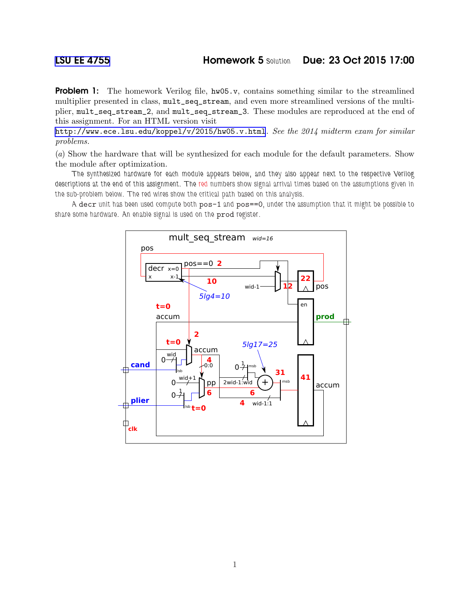**Problem 1:** The homework Verilog file,  $hw05.v$ , contains something similar to the streamlined multiplier presented in class, mult\_seq\_stream, and even more streamlined versions of the multiplier, mult\_seq\_stream\_2, and mult\_seq\_stream\_3. These modules are reproduced at the end of this assignment. For an HTML version visit

<http://www.ece.lsu.edu/koppel/v/2015/hw05.v.html>. *See the 2014 midterm exam for similar problems.*

(*a*) Show the hardware that will be synthesized for each module for the default parameters. Show the module after optimization.

The synthesized hardware for each module appears below, and they also appear next to the respective Verilog descriptions at the end of this assignment. The red numbers show signal arrival times based on the assumptions given in the sub-problem below. The red wires show the critical path based on this analysis.

A decr unit has been used compute both pos-1 and pos==0, under the assumption that it might be possible to share some hardware. An enable signal is used on the prod register.

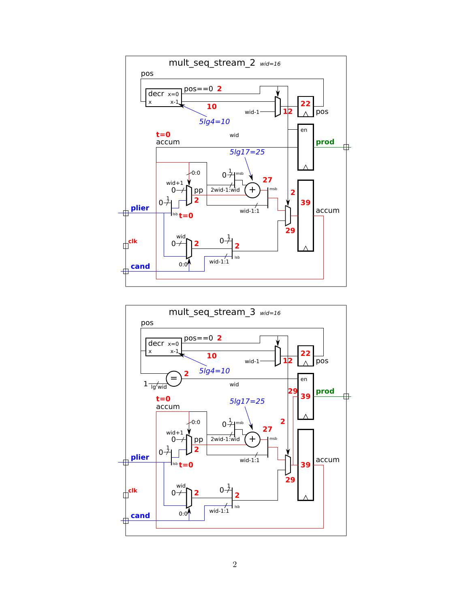

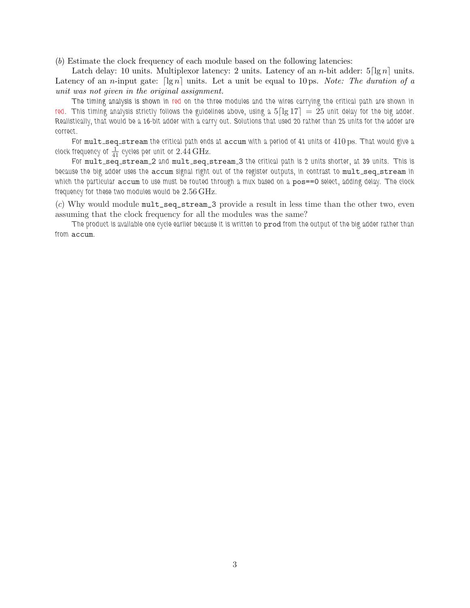(*b*) Estimate the clock frequency of each module based on the following latencies:

Latch delay: 10 units. Multiplexor latency: 2 units. Latency of an *n*-bit adder:  $5\lceil \lg n \rceil$  units. Latency of an *n*-input gate:  $\lceil \lg n \rceil$  units. Let a unit be equal to 10 ps. *Note: The duration of a unit was not given in the original assignment.*

The timing analysis is shown in red on the three modules and the wires carrying the critical path are shown in red. This timing analysis strictly follows the guidelines above, using a  $5\lceil \lg 17 \rceil = 25$  unit delay for the big adder. Realistically, that would be a 16-bit adder with a carry out. Solutions that used 20 rather than 25 units for the adder are correct.

For mult\_seq\_stream the critical path ends at accum with a period of 41 units or 410 ps. That would give a clock frequency of  $\frac{1}{41}$  cycles per unit or  $2.44\,\mathrm{GHz}$ .

For mult\_seq\_stream\_2 and mult\_seq\_stream\_3 the critical path is 2 units shorter, at 39 units. This is because the big adder uses the accum signal right out of the register outputs, in contrast to mult\_seq\_stream in which the particular accum to use must be routed through a mux based on a pos==0 select, adding delay. The clock frequency for these two modules would be  $2.56 \mathrm{\,GHz}$ .

(*c*) Why would module mult\_seq\_stream\_3 provide a result in less time than the other two, even assuming that the clock frequency for all the modules was the same?

The product is available one cycle earlier because it is written to prod from the output of the big adder rather than from accum.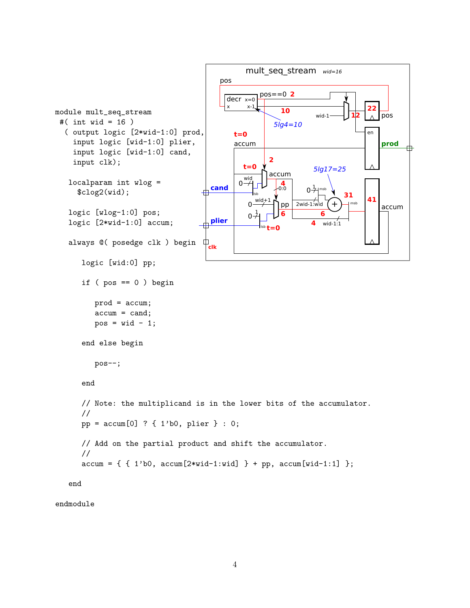```
mult_seq_stream wid=16
                                                    pos
                                                                 2
pos==0
                                                      decrx=0x-122 module mult_seq_stream
                                                                        10
                                                                                   wid-1
                                                                                               12
                                                                                                        pos
 #( int wid = 16 )
                                                                      5lg4=10
   ( output logic [2*wid-1:0] prod,
                                                                                                   en
                                                         t=0
     input logic [wid-1:0] plier,
                                                         accum
                                                                                                        prod
                                                                                                                毌
     input logic [wid-1:0] cand,
                                                                    2
     input clk);
                                                            t=0
                                                                                  5lg17=25
                                                                    accum
                                                            wic
    localparam int wlog =
                                                           0 -4
0:0
                                                                                0\overline{\overline{z}}cand
                                                                                   I<sub>msh</sub>
       $clog2(wid);\begin{array}{|c|c|c|}\n\hline\n31 & 41\n\end{array}lsb
                                                                \overrightarrow{p} pp \overrightarrow{2} and \overrightarrow{1} wid \overrightarrow{1}0
                                                                        pp
                                                                                              msb
                                                                                                        accum
    logic [wlog-1:0] pos;
                                                                1
                                                                        6
                                                                                     6
                                                             \Omegaplier
    logic [2*wid-1:0] accum;
                                                                                  4
                                                                                     wid-1:1t=0
                                                                  lsb
                                              \mathbf{\psi}_{\mathbf{clk}}always @( posedge clk ) begin
        logic [wid:0] pp;
        if (pos == 0) begin
            prod = accum;
            accum = cand;
            pos = wid - 1;end else begin
            pos--;
        end
        // Note: the multiplicand is in the lower bits of the accumulator.
        //
        pp = accum[0] ? { 1'b0, plier } : 0;
        // Add on the partial product and shift the accumulator.
        //
        \text{accum} = \{ \{ 1' \text{b0}, \ \text{accum}[2 * \text{wid}-1 : \text{wid}] \} + \text{pp}, \ \text{accum}[\text{wid}-1:1] \};
```
end

endmodule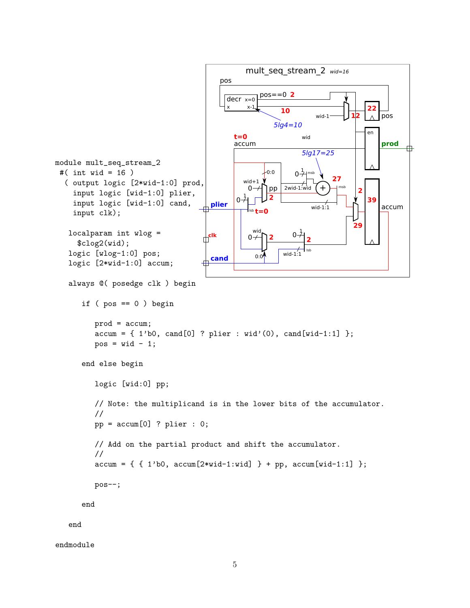```
mult_seq_stream_2 wid=16
                                                pos
                                                            2
pos==0
                                                 decr x=0x x-1
                                                                                           22
                                                                  10
                                                                            wid-1
                                                                                               pos
                                                                                      12
                                                                5lg4=10
                                                                                           en
                                                    t=0
                                                                        wid
                                                    accum
                                                                                               prod
                                                                                                      毌
                                                                        5lg17=25
module mult_seq_stream_2
 #( int wid = 16 )
                                                             0:0
                                                                      0\overline{1}msb
                                                       wid+1\sqrt{}27
  ( output logic [2*wid-1:0] prod,
                                                                  2wid-1:wid
                                                        0 -pp
                                                                             +
                                                                                   msb
                                                                                        2
     input logic [wid-1:0] plier,
                                                       1
                                                              2
                                                     \Omega39
     input logic [wid-1:0] cand,
                                             plier
                                                                          wid-1:1accum
     input clk);
                                                         lsb
t=0
                                                                                       29
                                          \frac{1}{\sqrt{2}}clk
                                                         wic
   localparam int wlog =
                                                                       1
                                                                     0
                                                        0+2 2
      $clog2(wid);
   logic [wlog-1:0] pos;
                                                                         lsb
                                                          0:0 wid-1:1
                                           cand
   logic [2*wid-1:0] accum;
   always @( posedge clk ) begin
       if (pos == 0) beginprod = accum;
           \text{accum} = \{ 1'\text{b0}, \text{cand}[0] ? \text{plier} : \text{wid'}(0), \text{cand}[\text{wid-1:1}] \};
           pos = wid - 1;end else begin
           logic [wid:0] pp;
           // Note: the multiplicand is in the lower bits of the accumulator.
           //
           pp = \text{accum}[0] ? plier : 0;// Add on the partial product and shift the accumulator.
           //
           \text{accum} = \{ \{ 1' \text{b0}, \ \text{accum}[2 * \text{wid}-1 : \text{wid}] \} + \text{pp}, \ \text{accum}[\text{wid}-1:1] \};
           pos--;
       end
    end
```

```
endmodule
```